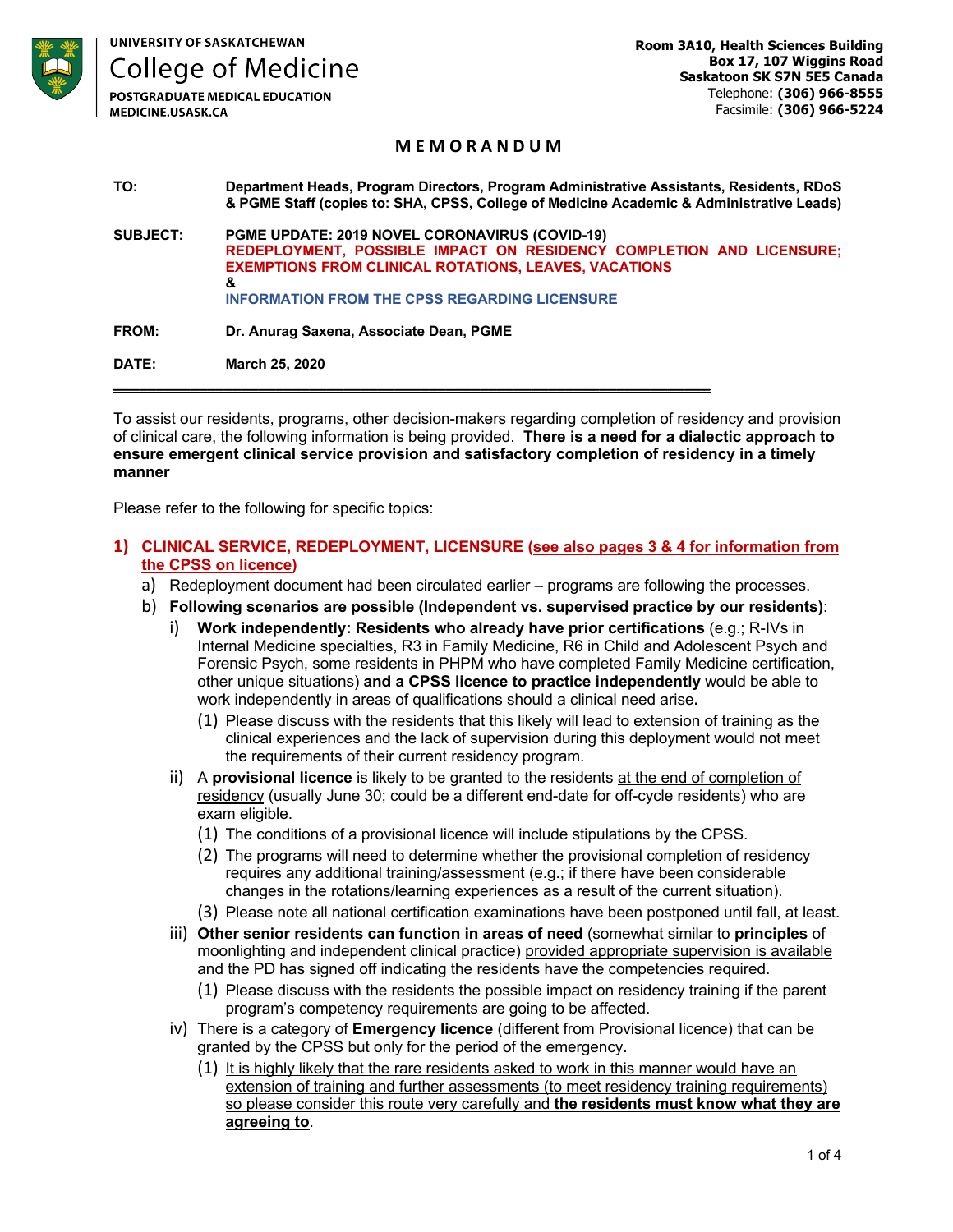**UNIVERSITY OF SASKATCHEWAN** 

**College of Medicine** 

**POSTGRADUATE MEDICAL EDUCATION** MEDICINE.USASK.CA

## **M E M O R A N D U M**

**TO: Department Heads, Program Directors, Program Administrative Assistants, Residents, RDoS & PGME Staff (copies to: SHA, CPSS, College of Medicine Academic & Administrative Leads) SUBJECT: PGME UPDATE: 2019 NOVEL CORONAVIRUS (COVID-19) REDEPLOYMENT, POSSIBLE IMPACT ON RESIDENCY COMPLETION AND LICENSURE; EXEMPTIONS FROM CLINICAL ROTATIONS, LEAVES, VACATIONS & INFORMATION FROM THE CPSS REGARDING LICENSURE**

**FROM: Dr. Anurag Saxena, Associate Dean, PGME**

**DATE: March 25, 2020**

To assist our residents, programs, other decision-makers regarding completion of residency and provision of clinical care, the following information is being provided. **There is a need for a dialectic approach to ensure emergent clinical service provision and satisfactory completion of residency in a timely manner**

**\_\_\_\_\_\_\_\_\_\_\_\_\_\_\_\_\_\_\_\_\_\_\_\_\_\_\_\_\_\_\_\_\_\_\_\_\_\_\_\_\_\_\_\_\_\_\_\_\_\_\_\_\_\_\_\_\_\_\_\_\_\_\_\_\_\_\_\_\_\_**

Please refer to the following for specific topics:

#### **1) CLINICAL SERVICE, REDEPLOYMENT, LICENSURE (see also pages 3 & 4 for information from the CPSS on licence)**

- a) Redeployment document had been circulated earlier programs are following the processes.
- b) **Following scenarios are possible (Independent vs. supervised practice by our residents)**:
	- i) **Work independently: Residents who already have prior certifications** (e.g.; R-IVs in Internal Medicine specialties, R3 in Family Medicine, R6 in Child and Adolescent Psych and Forensic Psych, some residents in PHPM who have completed Family Medicine certification, other unique situations) **and a CPSS licence to practice independently** would be able to work independently in areas of qualifications should a clinical need arise**.**
		- (1) Please discuss with the residents that this likely will lead to extension of training as the clinical experiences and the lack of supervision during this deployment would not meet the requirements of their current residency program.
	- ii) A **provisional licence** is likely to be granted to the residents at the end of completion of residency (usually June 30; could be a different end-date for off-cycle residents) who are exam eligible.
		- (1) The conditions of a provisional licence will include stipulations by the CPSS.
		- (2) The programs will need to determine whether the provisional completion of residency requires any additional training/assessment (e.g.; if there have been considerable changes in the rotations/learning experiences as a result of the current situation).
		- (3) Please note all national certification examinations have been postponed until fall, at least.
	- iii) **Other senior residents can function in areas of need** (somewhat similar to **principles** of moonlighting and independent clinical practice) provided appropriate supervision is available and the PD has signed off indicating the residents have the competencies required.
		- (1) Please discuss with the residents the possible impact on residency training if the parent program's competency requirements are going to be affected.
	- iv) There is a category of **Emergency licence** (different from Provisional licence) that can be granted by the CPSS but only for the period of the emergency.
		- (1) It is highly likely that the rare residents asked to work in this manner would have an extension of training and further assessments (to meet residency training requirements) so please consider this route very carefully and **the residents must know what they are agreeing to**.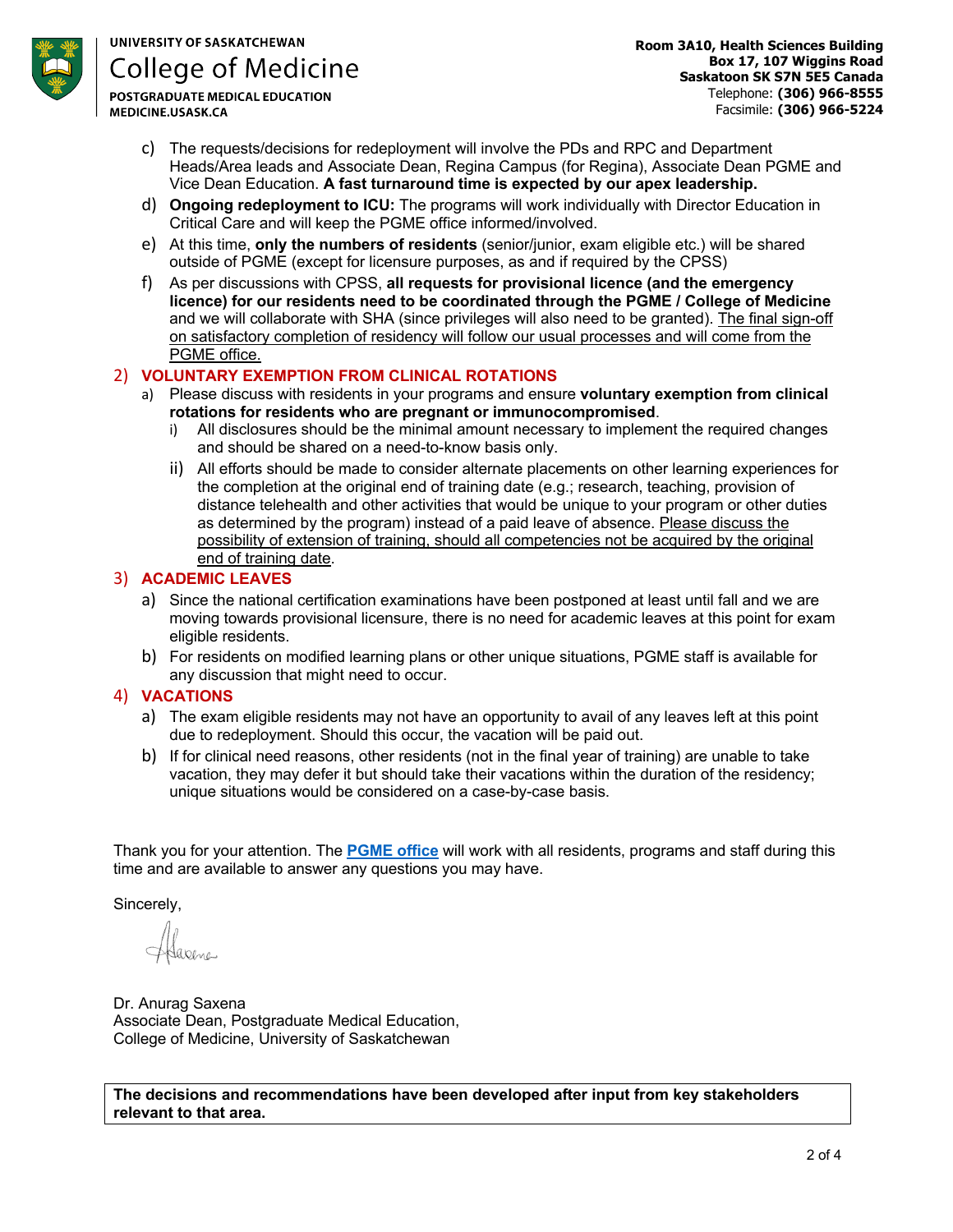

# **UNIVERSITY OF SASKATCHEWAN College of Medicine**

**POSTGRADUATE MEDICAL EDUCATION** MEDICINE.USASK.CA

**Room 3A10, Health Sciences Building Box 17, 107 Wiggins Road Saskatoon SK S7N 5E5 Canada** Telephone: **(306) 966-8555** Facsimile: **(306) 966-5224**

- c) The requests/decisions for redeployment will involve the PDs and RPC and Department Heads/Area leads and Associate Dean, Regina Campus (for Regina), Associate Dean PGME and Vice Dean Education. **A fast turnaround time is expected by our apex leadership.**
- d) **Ongoing redeployment to ICU:** The programs will work individually with Director Education in Critical Care and will keep the PGME office informed/involved.
- e) At this time, **only the numbers of residents** (senior/junior, exam eligible etc.) will be shared outside of PGME (except for licensure purposes, as and if required by the CPSS)
- f) As per discussions with CPSS, **all requests for provisional licence (and the emergency licence) for our residents need to be coordinated through the PGME / College of Medicine** and we will collaborate with SHA (since privileges will also need to be granted). The final sign-off on satisfactory completion of residency will follow our usual processes and will come from the PGME office.

# 2) **VOLUNTARY EXEMPTION FROM CLINICAL ROTATIONS**

- a) Please discuss with residents in your programs and ensure **voluntary exemption from clinical rotations for residents who are pregnant or immunocompromised**.
	- i) All disclosures should be the minimal amount necessary to implement the required changes and should be shared on a need-to-know basis only.
	- ii) All efforts should be made to consider alternate placements on other learning experiences for the completion at the original end of training date (e.g.; research, teaching, provision of distance telehealth and other activities that would be unique to your program or other duties as determined by the program) instead of a paid leave of absence. Please discuss the possibility of extension of training, should all competencies not be acquired by the original end of training date.

## 3) **ACADEMIC LEAVES**

- a) Since the national certification examinations have been postponed at least until fall and we are moving towards provisional licensure, there is no need for academic leaves at this point for exam eligible residents.
- b) For residents on modified learning plans or other unique situations, PGME staff is available for any discussion that might need to occur.

# 4) **VACATIONS**

- a) The exam eligible residents may not have an opportunity to avail of any leaves left at this point due to redeployment. Should this occur, the vacation will be paid out.
- b) If for clinical need reasons, other residents (not in the final year of training) are unable to take vacation, they may defer it but should take their vacations within the duration of the residency; unique situations would be considered on a case-by-case basis.

Thank you for your attention. The **PGME office** will work with all residents, programs and staff during this time and are available to answer any questions you may have.

Sincerely,

Dr. Anurag Saxena Associate Dean, Postgraduate Medical Education, College of Medicine, University of Saskatchewan

**The decisions and recommendations have been developed after input from key stakeholders relevant to that area.**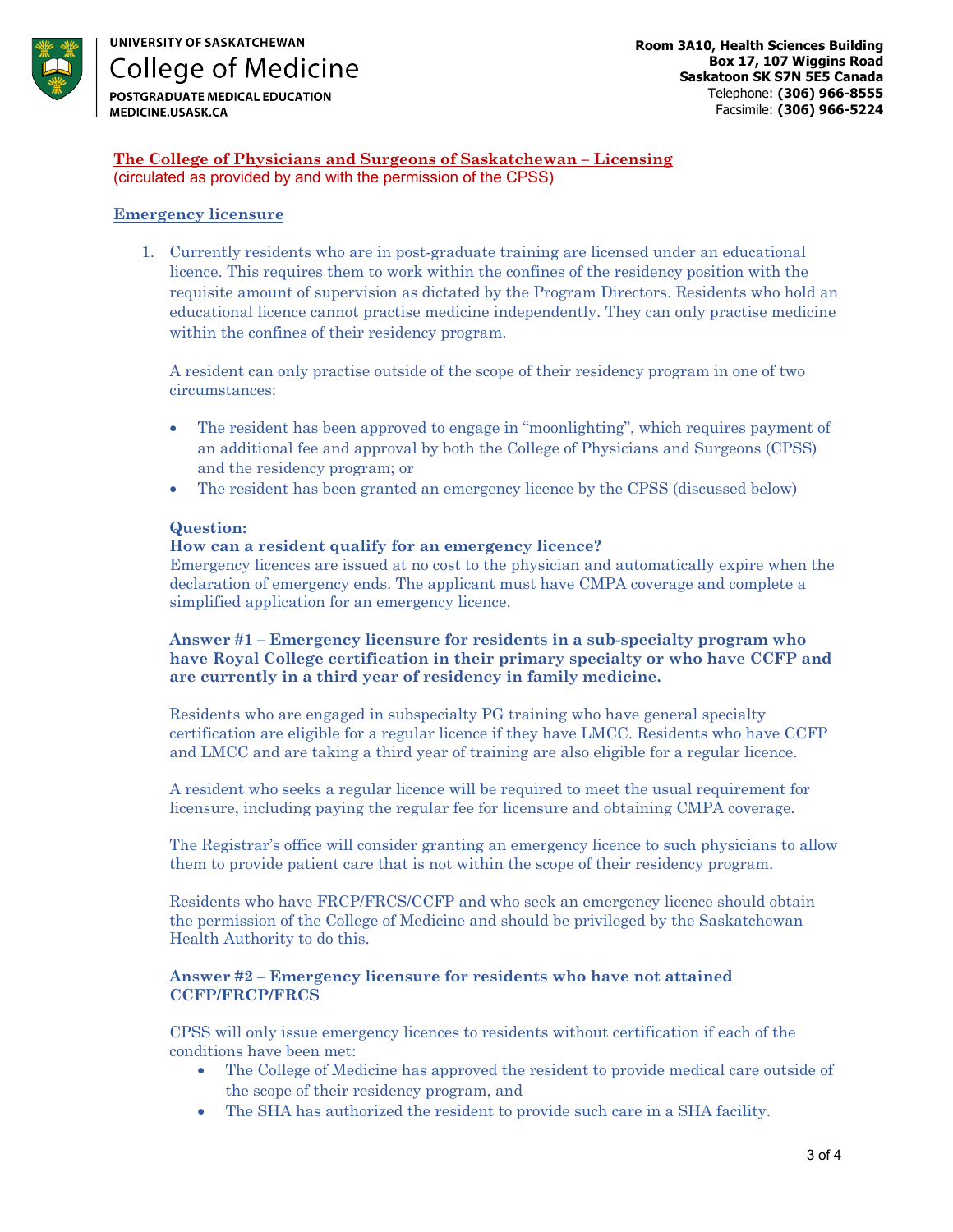

**The College of Physicians and Surgeons of Saskatchewan – Licensing** (circulated as provided by and with the permission of the CPSS)

## **Emergency licensure**

1. Currently residents who are in post-graduate training are licensed under an educational licence. This requires them to work within the confines of the residency position with the requisite amount of supervision as dictated by the Program Directors. Residents who hold an educational licence cannot practise medicine independently. They can only practise medicine within the confines of their residency program.

A resident can only practise outside of the scope of their residency program in one of two circumstances:

- The resident has been approved to engage in "moonlighting", which requires payment of an additional fee and approval by both the College of Physicians and Surgeons (CPSS) and the residency program; or
- The resident has been granted an emergency licence by the CPSS (discussed below)

#### **Question:**

## **How can a resident qualify for an emergency licence?**

Emergency licences are issued at no cost to the physician and automatically expire when the declaration of emergency ends. The applicant must have CMPA coverage and complete a simplified application for an emergency licence.

## **Answer #1 – Emergency licensure for residents in a sub-specialty program who have Royal College certification in their primary specialty or who have CCFP and are currently in a third year of residency in family medicine.**

Residents who are engaged in subspecialty PG training who have general specialty certification are eligible for a regular licence if they have LMCC. Residents who have CCFP and LMCC and are taking a third year of training are also eligible for a regular licence.

A resident who seeks a regular licence will be required to meet the usual requirement for licensure, including paying the regular fee for licensure and obtaining CMPA coverage.

The Registrar's office will consider granting an emergency licence to such physicians to allow them to provide patient care that is not within the scope of their residency program.

Residents who have FRCP/FRCS/CCFP and who seek an emergency licence should obtain the permission of the College of Medicine and should be privileged by the Saskatchewan Health Authority to do this.

#### **Answer #2 – Emergency licensure for residents who have not attained CCFP/FRCP/FRCS**

CPSS will only issue emergency licences to residents without certification if each of the conditions have been met:

- The College of Medicine has approved the resident to provide medical care outside of the scope of their residency program, and
- The SHA has authorized the resident to provide such care in a SHA facility.